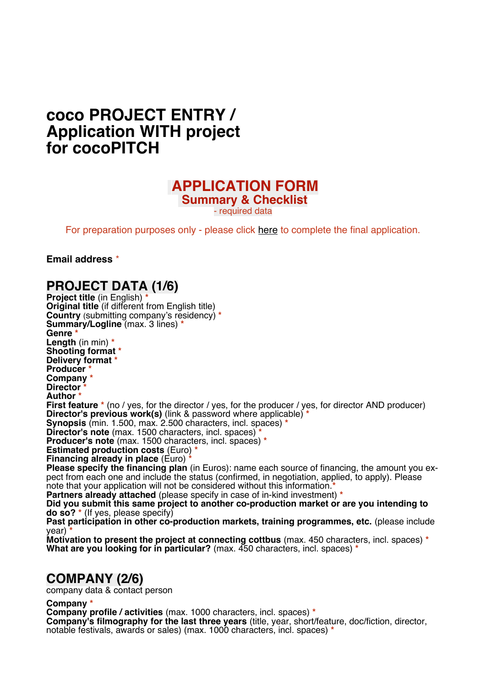# **coco PROJECT ENTRY / Application WITH project for cocoPITCH**

### **APPLICATION FORM**

**Summary & Checklist**

- required data

For preparation purposes only - please click [here](https://forms.gle/74kZrgRfw6vuZ3D48) to complete the final application.

**Email address** \*

#### **PROJECT DATA (1/6)**

**Project title** (in English) **\* Original title** (if different from English title) **Country** (submitting company's residency) **\* Summary/Logline** (max. 3 lines) **\* Genre \* Length** (in min) **\* Shooting format \* Delivery format \* Producer \* Company \* Director \* Author \* First feature**  $*$  (no / yes, for the director / yes, for the producer / yes, for director AND producer) **Director's previous work(s)** (link & password where applicable) **\* Synopsis** (min. 1.500, max. 2.500 characters, incl. spaces) **\* Director's note** (max. 1500 characters, incl. spaces) **\* Producer's note** (max. 1500 characters, incl. spaces) **\* Estimated production costs** (Euro) **\* Financing already in place** (Euro) **\* Please specify the financing plan** (in Euros): name each source of financing, the amount you expect from each one and include the status (confirmed, in negotiation, applied, to apply). Please note that your application will not be considered without this information.**\* Partners already attached** (please specify in case of in-kind investment) **\* Did you submit this same project to another co-production market or are you intending to do so? \*** (If yes, please specify) Past participation in other co-production markets, training programmes, etc. (please include year) **\***

**Motivation to present the project at connecting cottbus** (max. 450 characters, incl. spaces) **\* What are you looking for in particular?** (max. 450 characters, incl. spaces) **\***

### **COMPANY (2/6)**

company data & contact person

**Company \***

**Company profile / activities** (max. 1000 characters, incl. spaces) **\***

**Company's filmography for the last three years** (title, year, short/feature, doc/fiction, director, notable festivals, awards or sales) (max. 1000 characters, incl. spaces) **\***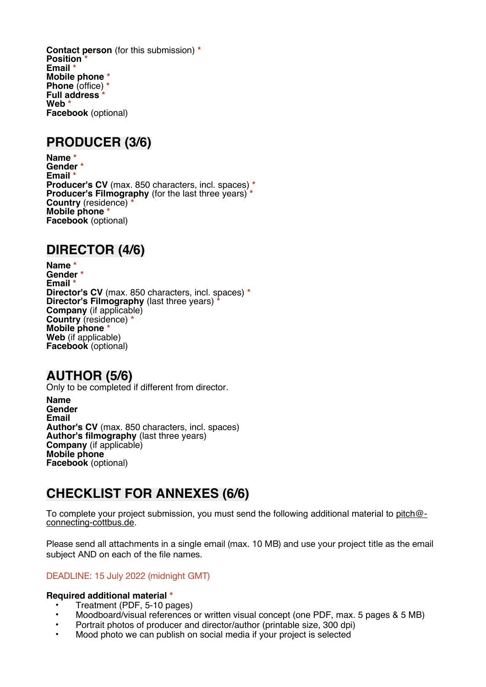**Contact person** (for this submission) **\* Position \* Email \* Mobile phone \* Phone** (office) **\* Full address \* Web \* Facebook** (optional)

#### **PRODUCER (3/6)**

**Name \* Gender \* Email \* Producer's CV** (max. 850 characters, incl. spaces) **\* Producer's Filmography** (for the last three years) **\* Country** (residence) **\* Mobile phone \* Facebook** (optional)

### **DIRECTOR (4/6)**

**Name \* Gender \* Email \* Director's CV** (max. 850 characters, incl. spaces) **\* Director's Filmography** (last three years) **\* Company** (if applicable) **Country** (residence) **\* Mobile phone \* Web** (if applicable) **Facebook** (optional)

### **AUTHOR (5/6)**

Only to be completed if different from director.

**Name Gender Email Author's CV** (max. 850 characters, incl. spaces) **Author's filmography** (last three years) **Company** (if applicable) **Mobile phone Facebook** (optional)

## **CHECKLIST FOR ANNEXES (6/6)**

To complete your project submission, you must send the following additional material to [pitch@](mailto:pitch@connecting-cottbus.de) [connecting-cottbus.de](mailto:pitch@connecting-cottbus.de).

Please send all attachments in a single email (max. 10 MB) and use your project title as the email subject AND on each of the file names.

#### DEADLINE: 15 July 2022 (midnight GMT)

#### **Required additional material \***

- Treatment (PDF, 5-10 pages)
- Moodboard/visual references or written visual concept (one PDF, max. 5 pages & 5 MB)
- Portrait photos of producer and director/author (printable size, 300 dpi)
- Mood photo we can publish on social media if your project is selected